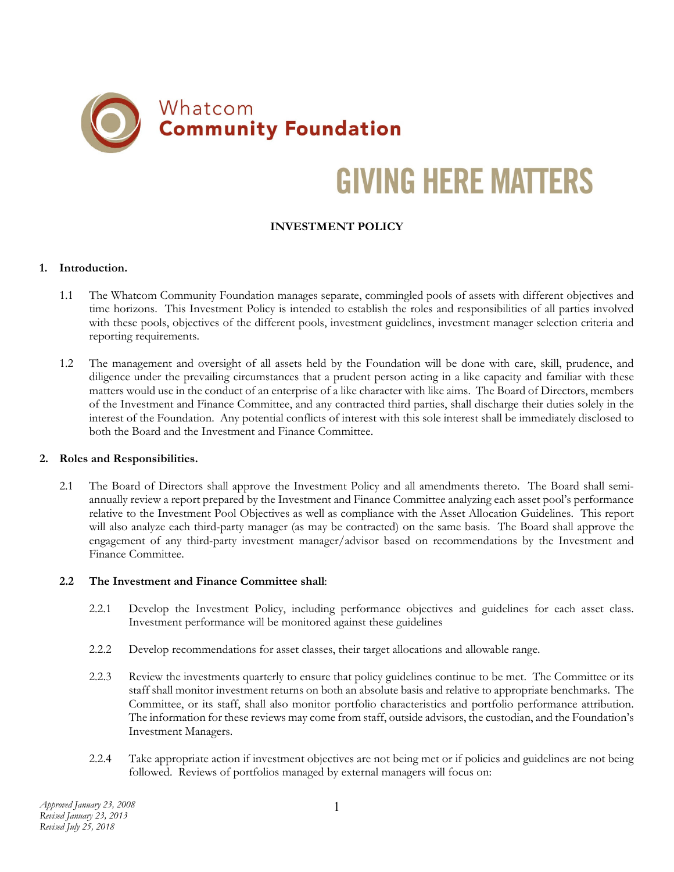

# **GIVING HERE MATTERS**

## **INVESTMENT POLICY**

#### **1. Introduction.**

- 1.1 The Whatcom Community Foundation manages separate, commingled pools of assets with different objectives and time horizons. This Investment Policy is intended to establish the roles and responsibilities of all parties involved with these pools, objectives of the different pools, investment guidelines, investment manager selection criteria and reporting requirements.
- 1.2 The management and oversight of all assets held by the Foundation will be done with care, skill, prudence, and diligence under the prevailing circumstances that a prudent person acting in a like capacity and familiar with these matters would use in the conduct of an enterprise of a like character with like aims. The Board of Directors, members of the Investment and Finance Committee, and any contracted third parties, shall discharge their duties solely in the interest of the Foundation. Any potential conflicts of interest with this sole interest shall be immediately disclosed to both the Board and the Investment and Finance Committee.

#### **2. Roles and Responsibilities.**

2.1 The Board of Directors shall approve the Investment Policy and all amendments thereto. The Board shall semiannually review a report prepared by the Investment and Finance Committee analyzing each asset pool's performance relative to the Investment Pool Objectives as well as compliance with the Asset Allocation Guidelines. This report will also analyze each third-party manager (as may be contracted) on the same basis. The Board shall approve the engagement of any third-party investment manager/advisor based on recommendations by the Investment and Finance Committee.

#### **2.2 The Investment and Finance Committee shall**:

- 2.2.1 Develop the Investment Policy, including performance objectives and guidelines for each asset class. Investment performance will be monitored against these guidelines
- 2.2.2 Develop recommendations for asset classes, their target allocations and allowable range.
- 2.2.3 Review the investments quarterly to ensure that policy guidelines continue to be met. The Committee or its staff shall monitor investment returns on both an absolute basis and relative to appropriate benchmarks. The Committee, or its staff, shall also monitor portfolio characteristics and portfolio performance attribution. The information for these reviews may come from staff, outside advisors, the custodian, and the Foundation's Investment Managers.
- 2.2.4 Take appropriate action if investment objectives are not being met or if policies and guidelines are not being followed. Reviews of portfolios managed by external managers will focus on: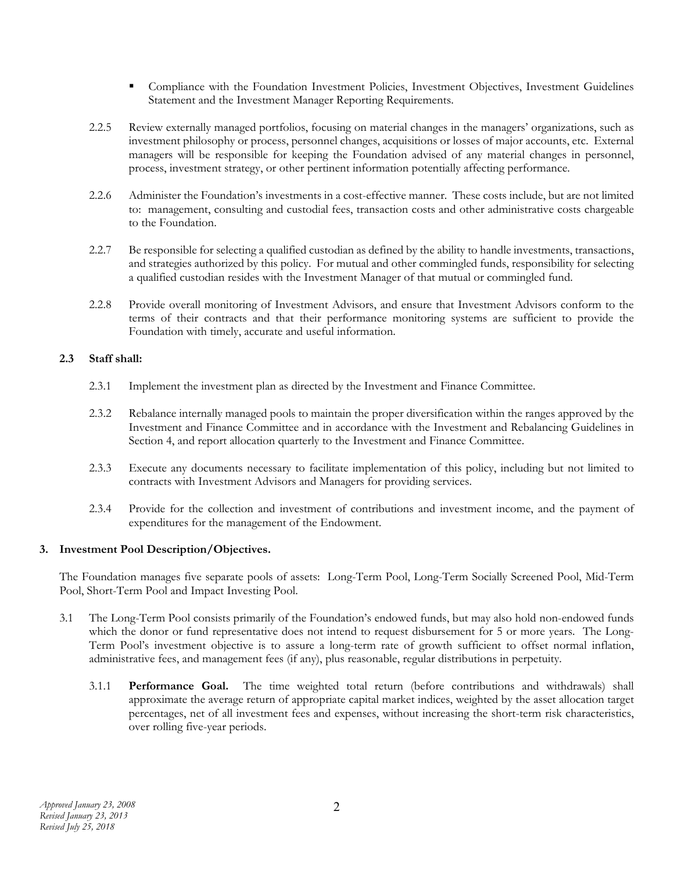- Compliance with the Foundation Investment Policies, Investment Objectives, Investment Guidelines Statement and the Investment Manager Reporting Requirements.
- 2.2.5 Review externally managed portfolios, focusing on material changes in the managers' organizations, such as investment philosophy or process, personnel changes, acquisitions or losses of major accounts, etc. External managers will be responsible for keeping the Foundation advised of any material changes in personnel, process, investment strategy, or other pertinent information potentially affecting performance.
- 2.2.6 Administer the Foundation's investments in a cost-effective manner. These costs include, but are not limited to: management, consulting and custodial fees, transaction costs and other administrative costs chargeable to the Foundation.
- 2.2.7 Be responsible for selecting a qualified custodian as defined by the ability to handle investments, transactions, and strategies authorized by this policy. For mutual and other commingled funds, responsibility for selecting a qualified custodian resides with the Investment Manager of that mutual or commingled fund.
- 2.2.8 Provide overall monitoring of Investment Advisors, and ensure that Investment Advisors conform to the terms of their contracts and that their performance monitoring systems are sufficient to provide the Foundation with timely, accurate and useful information.

### **2.3 Staff shall:**

- 2.3.1 Implement the investment plan as directed by the Investment and Finance Committee.
- 2.3.2 Rebalance internally managed pools to maintain the proper diversification within the ranges approved by the Investment and Finance Committee and in accordance with the Investment and Rebalancing Guidelines in Section 4, and report allocation quarterly to the Investment and Finance Committee.
- 2.3.3 Execute any documents necessary to facilitate implementation of this policy, including but not limited to contracts with Investment Advisors and Managers for providing services.
- 2.3.4 Provide for the collection and investment of contributions and investment income, and the payment of expenditures for the management of the Endowment.

#### **3. Investment Pool Description/Objectives.**

 The Foundation manages five separate pools of assets: Long-Term Pool, Long-Term Socially Screened Pool, Mid-Term Pool, Short-Term Pool and Impact Investing Pool.

- 3.1 The Long-Term Pool consists primarily of the Foundation's endowed funds, but may also hold non-endowed funds which the donor or fund representative does not intend to request disbursement for 5 or more years. The Long-Term Pool's investment objective is to assure a long-term rate of growth sufficient to offset normal inflation, administrative fees, and management fees (if any), plus reasonable, regular distributions in perpetuity.
	- 3.1.1 **Performance Goal.** The time weighted total return (before contributions and withdrawals) shall approximate the average return of appropriate capital market indices, weighted by the asset allocation target percentages, net of all investment fees and expenses, without increasing the short-term risk characteristics, over rolling five-year periods.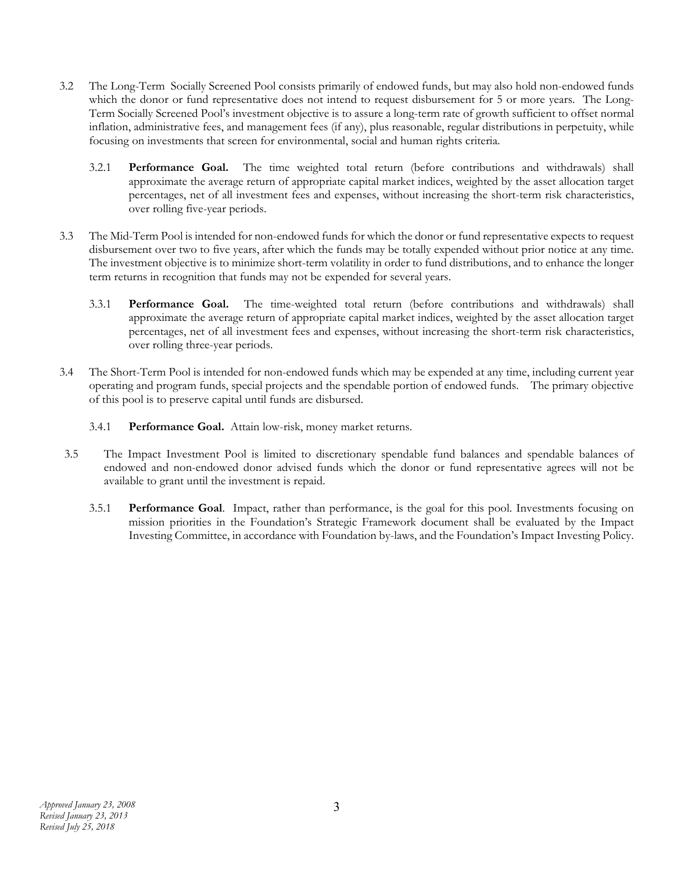- 3.2 The Long-Term Socially Screened Pool consists primarily of endowed funds, but may also hold non-endowed funds which the donor or fund representative does not intend to request disbursement for 5 or more years. The Long-Term Socially Screened Pool's investment objective is to assure a long-term rate of growth sufficient to offset normal inflation, administrative fees, and management fees (if any), plus reasonable, regular distributions in perpetuity, while focusing on investments that screen for environmental, social and human rights criteria.
	- 3.2.1 **Performance Goal.** The time weighted total return (before contributions and withdrawals) shall approximate the average return of appropriate capital market indices, weighted by the asset allocation target percentages, net of all investment fees and expenses, without increasing the short-term risk characteristics, over rolling five-year periods.
- 3.3 The Mid-Term Pool is intended for non-endowed funds for which the donor or fund representative expects to request disbursement over two to five years, after which the funds may be totally expended without prior notice at any time. The investment objective is to minimize short-term volatility in order to fund distributions, and to enhance the longer term returns in recognition that funds may not be expended for several years.
	- 3.3.1 **Performance Goal.** The time-weighted total return (before contributions and withdrawals) shall approximate the average return of appropriate capital market indices, weighted by the asset allocation target percentages, net of all investment fees and expenses, without increasing the short-term risk characteristics, over rolling three-year periods.
- 3.4 The Short-Term Pool is intended for non-endowed funds which may be expended at any time, including current year operating and program funds, special projects and the spendable portion of endowed funds. The primary objective of this pool is to preserve capital until funds are disbursed.
	- 3.4.1 **Performance Goal.** Attain low-risk, money market returns.
- 3.5 The Impact Investment Pool is limited to discretionary spendable fund balances and spendable balances of endowed and non-endowed donor advised funds which the donor or fund representative agrees will not be available to grant until the investment is repaid.
	- 3.5.1 **Performance Goal**.Impact, rather than performance, is the goal for this pool. Investments focusing on mission priorities in the Foundation's Strategic Framework document shall be evaluated by the Impact Investing Committee, in accordance with Foundation by-laws, and the Foundation's Impact Investing Policy.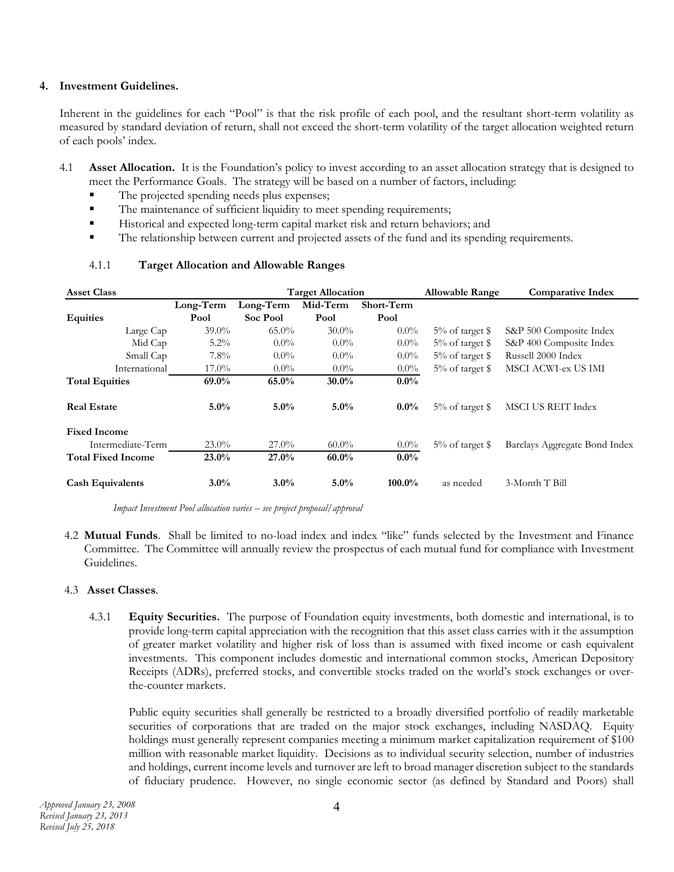#### **4. Investment Guidelines.**

Inherent in the guidelines for each "Pool" is that the risk profile of each pool, and the resultant short-term volatility as measured by standard deviation of return, shall not exceed the short-term volatility of the target allocation weighted return of each pools' index.

- 4.1 **Asset Allocation.** It is the Foundation's policy to invest according to an asset allocation strategy that is designed to meet the Performance Goals. The strategy will be based on a number of factors, including:
	- The projected spending needs plus expenses;
	- The maintenance of sufficient liquidity to meet spending requirements;
	- Historical and expected long-term capital market risk and return behaviors; and
	- The relationship between current and projected assets of the fund and its spending requirements.

| <b>Asset Class</b>        |           |           | <b>Target Allocation</b> |            | <b>Allowable Range</b> | <b>Comparative Index</b>      |
|---------------------------|-----------|-----------|--------------------------|------------|------------------------|-------------------------------|
|                           | Long-Term | Long-Term | Mid-Term                 | Short-Term |                        |                               |
| <b>Equities</b>           | Pool      | Soc Pool  | Pool                     | Pool       |                        |                               |
| Large Cap                 | $39.0\%$  | $65.0\%$  | $30.0\%$                 | $0.0\%$    | $5\%$ of target \$     | S&P 500 Composite Index       |
| Mid Cap                   | $5.2\%$   | $0.0\%$   | $0.0\%$                  | $0.0\%$    | $5\%$ of target \$     | S&P 400 Composite Index       |
| Small Cap                 | $7.8\%$   | $0.0\%$   | $0.0\%$                  | $0.0\%$    | $5\%$ of target \$     | Russell 2000 Index            |
| International             | $17.0\%$  | $0.0\%$   | $0.0\%$                  | $0.0\%$    | $5\%$ of target \$     | MSCI ACWI-ex US IMI           |
| <b>Total Equities</b>     | $69.0\%$  | 65.0%     | $30.0\%$                 | $0.0\%$    |                        |                               |
| <b>Real Estate</b>        | $5.0\%$   | $5.0\%$   | $5.0\%$                  | $0.0\%$    | $5\%$ of target \$     | <b>MSCI US REIT Index</b>     |
| <b>Fixed Income</b>       |           |           |                          |            |                        |                               |
| Intermediate-Term         | $23.0\%$  | $27.0\%$  | $60.0\%$                 | $0.0\%$    | $5\%$ of target \$     | Barclays Aggregate Bond Index |
| <b>Total Fixed Income</b> | $23.0\%$  | 27.0%     | $60.0\%$                 | $0.0\%$    |                        |                               |
| <b>Cash Equivalents</b>   | $3.0\%$   | $3.0\%$   | $5.0\%$                  | $100.0\%$  | as needed              | 3-Month T Bill                |

#### 4.1.1 **Target Allocation and Allowable Ranges**

*Impact Investment Pool allocation varies -- see project proposal/approval*

4.2 **Mutual Funds**. Shall be limited to no-load index and index "like" funds selected by the Investment and Finance Committee. The Committee will annually review the prospectus of each mutual fund for compliance with Investment Guidelines.

#### 4.3 **Asset Classes**.

4.3.1 **Equity Securities.** The purpose of Foundation equity investments, both domestic and international, is to provide long-term capital appreciation with the recognition that this asset class carries with it the assumption of greater market volatility and higher risk of loss than is assumed with fixed income or cash equivalent investments. This component includes domestic and international common stocks, American Depository Receipts (ADRs), preferred stocks, and convertible stocks traded on the world's stock exchanges or overthe-counter markets.

Public equity securities shall generally be restricted to a broadly diversified portfolio of readily marketable securities of corporations that are traded on the major stock exchanges, including NASDAQ. Equity holdings must generally represent companies meeting a minimum market capitalization requirement of \$100 million with reasonable market liquidity. Decisions as to individual security selection, number of industries and holdings, current income levels and turnover are left to broad manager discretion subject to the standards of fiduciary prudence. However, no single economic sector (as defined by Standard and Poors) shall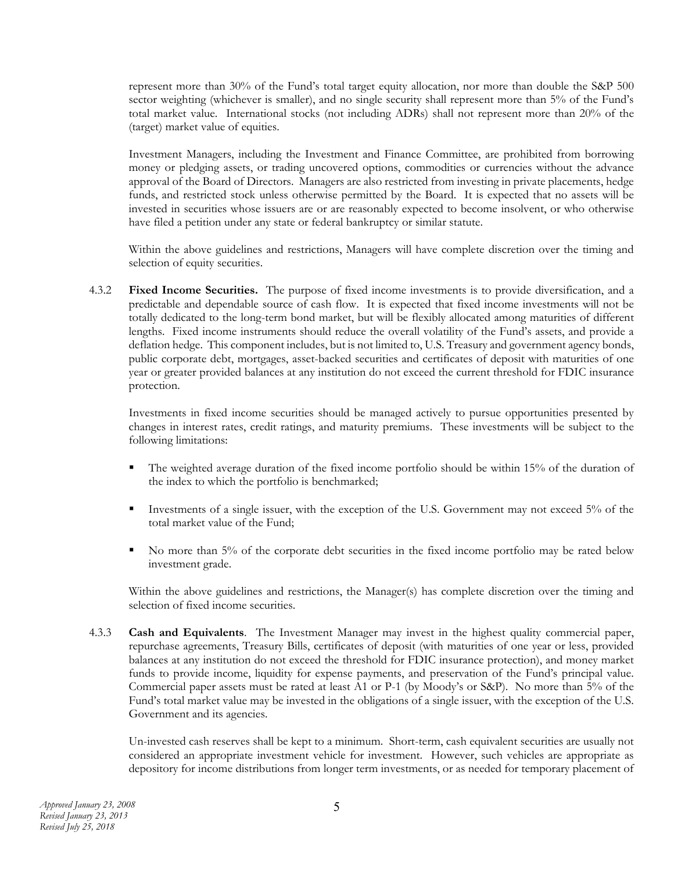represent more than 30% of the Fund's total target equity allocation, nor more than double the S&P 500 sector weighting (whichever is smaller), and no single security shall represent more than 5% of the Fund's total market value. International stocks (not including ADRs) shall not represent more than 20% of the (target) market value of equities.

Investment Managers, including the Investment and Finance Committee, are prohibited from borrowing money or pledging assets, or trading uncovered options, commodities or currencies without the advance approval of the Board of Directors. Managers are also restricted from investing in private placements, hedge funds, and restricted stock unless otherwise permitted by the Board. It is expected that no assets will be invested in securities whose issuers are or are reasonably expected to become insolvent, or who otherwise have filed a petition under any state or federal bankruptcy or similar statute.

Within the above guidelines and restrictions, Managers will have complete discretion over the timing and selection of equity securities.

4.3.2 **Fixed Income Securities.** The purpose of fixed income investments is to provide diversification, and a predictable and dependable source of cash flow. It is expected that fixed income investments will not be totally dedicated to the long-term bond market, but will be flexibly allocated among maturities of different lengths. Fixed income instruments should reduce the overall volatility of the Fund's assets, and provide a deflation hedge. This component includes, but is not limited to, U.S. Treasury and government agency bonds, public corporate debt, mortgages, asset-backed securities and certificates of deposit with maturities of one year or greater provided balances at any institution do not exceed the current threshold for FDIC insurance protection.

Investments in fixed income securities should be managed actively to pursue opportunities presented by changes in interest rates, credit ratings, and maturity premiums. These investments will be subject to the following limitations:

- The weighted average duration of the fixed income portfolio should be within 15% of the duration of the index to which the portfolio is benchmarked;
- Investments of a single issuer, with the exception of the U.S. Government may not exceed 5% of the total market value of the Fund;
- No more than 5% of the corporate debt securities in the fixed income portfolio may be rated below investment grade.

Within the above guidelines and restrictions, the Manager(s) has complete discretion over the timing and selection of fixed income securities.

4.3.3 **Cash and Equivalents**. The Investment Manager may invest in the highest quality commercial paper, repurchase agreements, Treasury Bills, certificates of deposit (with maturities of one year or less, provided balances at any institution do not exceed the threshold for FDIC insurance protection), and money market funds to provide income, liquidity for expense payments, and preservation of the Fund's principal value. Commercial paper assets must be rated at least A1 or P-1 (by Moody's or S&P). No more than 5% of the Fund's total market value may be invested in the obligations of a single issuer, with the exception of the U.S. Government and its agencies.

 Un-invested cash reserves shall be kept to a minimum. Short-term, cash equivalent securities are usually not considered an appropriate investment vehicle for investment. However, such vehicles are appropriate as depository for income distributions from longer term investments, or as needed for temporary placement of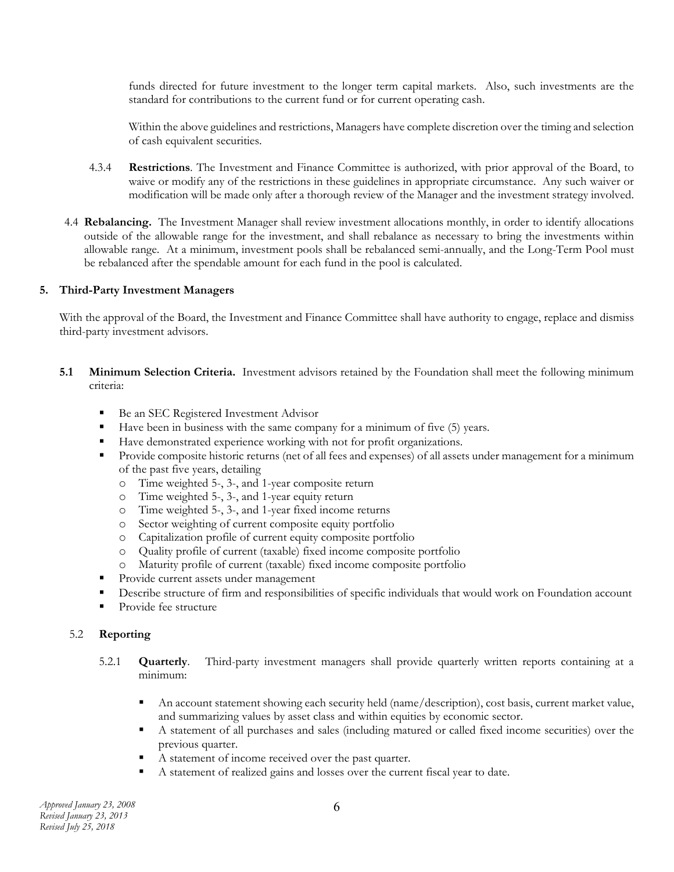funds directed for future investment to the longer term capital markets. Also, such investments are the standard for contributions to the current fund or for current operating cash.

 Within the above guidelines and restrictions, Managers have complete discretion over the timing and selection of cash equivalent securities.

- 4.3.4 **Restrictions**. The Investment and Finance Committee is authorized, with prior approval of the Board, to waive or modify any of the restrictions in these guidelines in appropriate circumstance. Any such waiver or modification will be made only after a thorough review of the Manager and the investment strategy involved.
- 4.4 **Rebalancing.** The Investment Manager shall review investment allocations monthly, in order to identify allocations outside of the allowable range for the investment, and shall rebalance as necessary to bring the investments within allowable range. At a minimum, investment pools shall be rebalanced semi-annually, and the Long-Term Pool must be rebalanced after the spendable amount for each fund in the pool is calculated.

#### **5. Third-Party Investment Managers**

With the approval of the Board, the Investment and Finance Committee shall have authority to engage, replace and dismiss third-party investment advisors.

- **5.1 Minimum Selection Criteria.** Investment advisors retained by the Foundation shall meet the following minimum criteria:
	- Be an SEC Registered Investment Advisor
	- Have been in business with the same company for a minimum of five (5) years.
	- Have demonstrated experience working with not for profit organizations.
	- Provide composite historic returns (net of all fees and expenses) of all assets under management for a minimum of the past five years, detailing
		- o Time weighted 5-, 3-, and 1-year composite return
		- o Time weighted 5-, 3-, and 1-year equity return
		- o Time weighted 5-, 3-, and 1-year fixed income returns
		- o Sector weighting of current composite equity portfolio
		-
		- o Capitalization profile of current equity composite portfolio Quality profile of current (taxable) fixed income composite portfolio
		- o Maturity profile of current (taxable) fixed income composite portfolio
	- **Provide current assets under management**
	- Describe structure of firm and responsibilities of specific individuals that would work on Foundation account
	- Provide fee structure

#### 5.2 **Reporting**

- 5.2.1 **Quarterly**. Third-party investment managers shall provide quarterly written reports containing at a minimum:
	- An account statement showing each security held (name/description), cost basis, current market value, and summarizing values by asset class and within equities by economic sector.
	- A statement of all purchases and sales (including matured or called fixed income securities) over the previous quarter.
	- A statement of income received over the past quarter.
	- A statement of realized gains and losses over the current fiscal year to date.